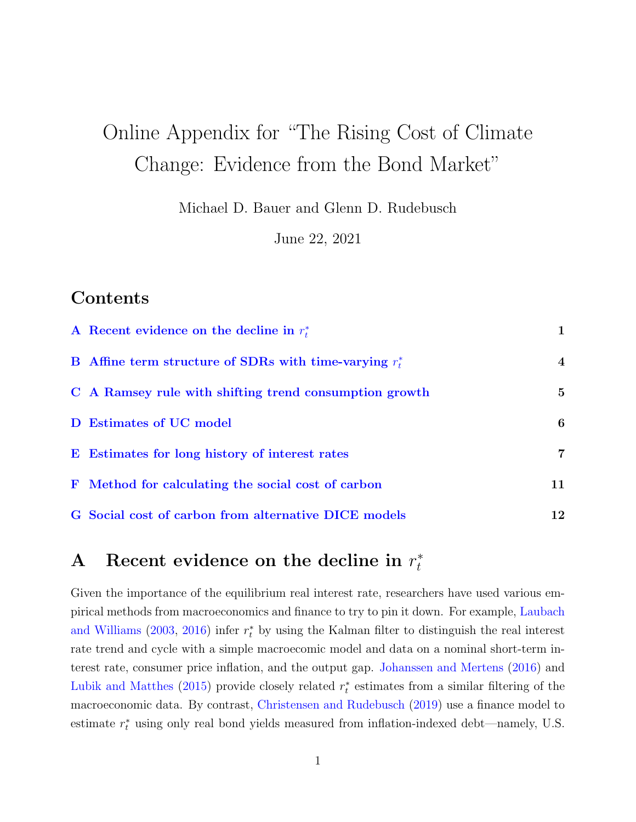# Online Appendix for "The Rising Cost of Climate Change: Evidence from the Bond Market"

Michael D. Bauer and Glenn D. Rudebusch

June 22, 2021

## Contents

| A Recent evidence on the decline in $r_t^*$               | 1                |
|-----------------------------------------------------------|------------------|
| B Affine term structure of SDRs with time-varying $r_t^*$ | $\boldsymbol{4}$ |
| C A Ramsey rule with shifting trend consumption growth    | $\bf{5}$         |
| D Estimates of UC model                                   | 6                |
| E Estimates for long history of interest rates            | 7                |
| F Method for calculating the social cost of carbon        | 11               |
| G Social cost of carbon from alternative DICE models      | 12               |

#### <span id="page-0-0"></span>A Recent evidence on the decline in  $r_t^*$ t

Given the importance of the equilibrium real interest rate, researchers have used various empirical methods from macroeconomics and finance to try to pin it down. For example, [Laubach](#page-15-0) [and Williams](#page-15-0) [\(2003,](#page-15-0) [2016\)](#page-15-1) infer  $r_t^*$  by using the Kalman filter to distinguish the real interest rate trend and cycle with a simple macroecomic model and data on a nominal short-term interest rate, consumer price inflation, and the output gap. [Johanssen and Mertens](#page-15-2) [\(2016\)](#page-15-2) and [Lubik and Matthes](#page-15-3) [\(2015\)](#page-15-3) provide closely related  $r_t^*$  estimates from a similar filtering of the macroeconomic data. By contrast, [Christensen and Rudebusch](#page-13-0) [\(2019\)](#page-13-0) use a finance model to estimate  $r_t^*$  using only real bond yields measured from inflation-indexed debt—namely, U.S.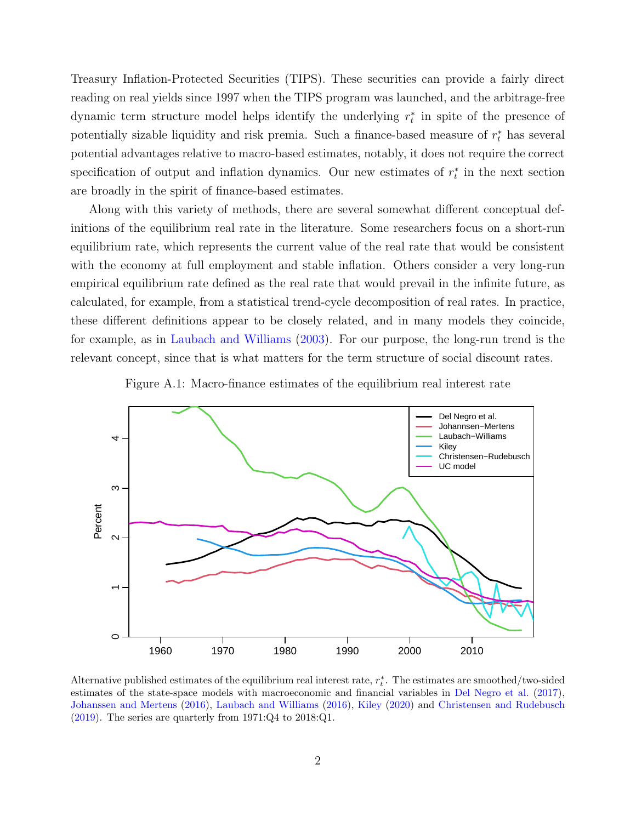Treasury Inflation-Protected Securities (TIPS). These securities can provide a fairly direct reading on real yields since 1997 when the TIPS program was launched, and the arbitrage-free dynamic term structure model helps identify the underlying  $r_t^*$  in spite of the presence of potentially sizable liquidity and risk premia. Such a finance-based measure of  $r_t^*$  has several potential advantages relative to macro-based estimates, notably, it does not require the correct specification of output and inflation dynamics. Our new estimates of  $r_t^*$  in the next section are broadly in the spirit of finance-based estimates.

Along with this variety of methods, there are several somewhat different conceptual definitions of the equilibrium real rate in the literature. Some researchers focus on a short-run equilibrium rate, which represents the current value of the real rate that would be consistent with the economy at full employment and stable inflation. Others consider a very long-run empirical equilibrium rate defined as the real rate that would prevail in the infinite future, as calculated, for example, from a statistical trend-cycle decomposition of real rates. In practice, these different definitions appear to be closely related, and in many models they coincide, for example, as in [Laubach and Williams](#page-15-0) [\(2003\)](#page-15-0). For our purpose, the long-run trend is the relevant concept, since that is what matters for the term structure of social discount rates.



<span id="page-1-0"></span>

Alternative published estimates of the equilibrium real interest rate,  $r_t^*$ . The estimates are smoothed/two-sided estimates of the state-space models with macroeconomic and financial variables in [Del Negro et al.](#page-13-1) [\(2017\)](#page-13-1), [Johanssen and Mertens](#page-15-2) [\(2016\)](#page-15-2), [Laubach and Williams](#page-15-1) [\(2016\)](#page-15-1), [Kiley](#page-15-4) [\(2020\)](#page-15-4) and [Christensen and Rudebusch](#page-13-0) [\(2019\)](#page-13-0). The series are quarterly from 1971:Q4 to 2018:Q1.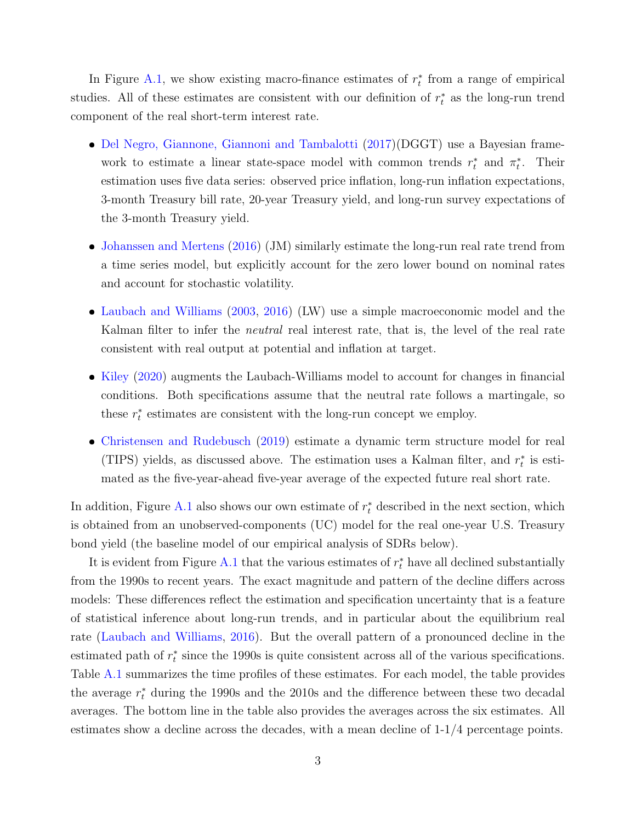In Figure [A.1,](#page-1-0) we show existing macro-finance estimates of  $r_t^*$  from a range of empirical studies. All of these estimates are consistent with our definition of  $r_t^*$  as the long-run trend component of the real short-term interest rate.

- [Del Negro, Giannone, Giannoni and Tambalotti](#page-13-1) [\(2017\)](#page-13-1)(DGGT) use a Bayesian framework to estimate a linear state-space model with common trends  $r_t^*$  and  $\pi_t^*$ . Their estimation uses five data series: observed price inflation, long-run inflation expectations, 3-month Treasury bill rate, 20-year Treasury yield, and long-run survey expectations of the 3-month Treasury yield.
- [Johanssen and Mertens](#page-15-2) [\(2016\)](#page-15-2) (JM) similarly estimate the long-run real rate trend from a time series model, but explicitly account for the zero lower bound on nominal rates and account for stochastic volatility.
- [Laubach and Williams](#page-15-0) [\(2003,](#page-15-0) [2016\)](#page-15-1) (LW) use a simple macroeconomic model and the Kalman filter to infer the *neutral* real interest rate, that is, the level of the real rate consistent with real output at potential and inflation at target.
- [Kiley](#page-15-4) [\(2020\)](#page-15-4) augments the Laubach-Williams model to account for changes in financial conditions. Both specifications assume that the neutral rate follows a martingale, so these  $r_t^*$  estimates are consistent with the long-run concept we employ.
- [Christensen and Rudebusch](#page-13-0) [\(2019\)](#page-13-0) estimate a dynamic term structure model for real (TIPS) yields, as discussed above. The estimation uses a Kalman filter, and  $r_t^*$  is estimated as the five-year-ahead five-year average of the expected future real short rate.

In addition, Figure [A.1](#page-1-0) also shows our own estimate of  $r_t^*$  described in the next section, which is obtained from an unobserved-components (UC) model for the real one-year U.S. Treasury bond yield (the baseline model of our empirical analysis of SDRs below).

It is evident from Figure [A.1](#page-1-0) that the various estimates of  $r_t^*$  have all declined substantially from the 1990s to recent years. The exact magnitude and pattern of the decline differs across models: These differences reflect the estimation and specification uncertainty that is a feature of statistical inference about long-run trends, and in particular about the equilibrium real rate [\(Laubach and Williams,](#page-15-1) [2016\)](#page-15-1). But the overall pattern of a pronounced decline in the estimated path of  $r_t^*$  since the 1990s is quite consistent across all of the various specifications. Table [A.1](#page-3-1) summarizes the time profiles of these estimates. For each model, the table provides the average  $r_t^*$  during the 1990s and the 2010s and the difference between these two decadal averages. The bottom line in the table also provides the averages across the six estimates. All estimates show a decline across the decades, with a mean decline of 1-1/4 percentage points.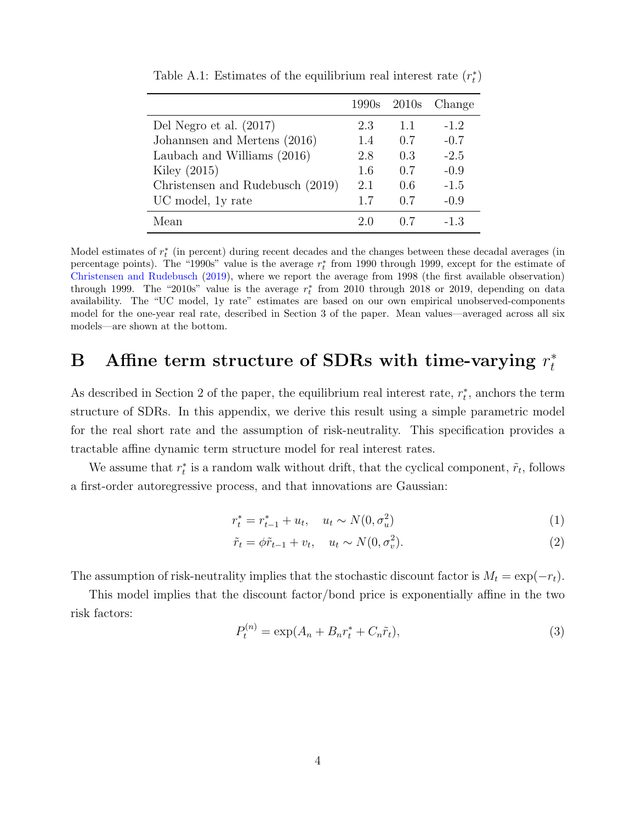|                                  |     | 1990s 2010s | Change |
|----------------------------------|-----|-------------|--------|
| Del Negro et al. $(2017)$        | 2.3 | 1.1         | $-1.2$ |
| Johannsen and Mertens (2016)     | 1.4 | 0.7         | $-0.7$ |
| Laubach and Williams (2016)      | 2.8 | 0.3         | $-2.5$ |
| Kiley $(2015)$                   | 1.6 | 0.7         | $-0.9$ |
| Christensen and Rudebusch (2019) | 2.1 | 0.6         | $-1.5$ |
| UC model, 1y rate                | 1.7 | 0.7         | $-0.9$ |
| Mean                             | 2.0 |             | $-1.3$ |

<span id="page-3-1"></span>Table A.1: Estimates of the equilibrium real interest rate  $(r_t^*)$ 

Model estimates of  $r_t^*$  (in percent) during recent decades and the changes between these decadal averages (in percentage points). The "1990s" value is the average  $r_t^*$  from 1990 through 1999, except for the estimate of [Christensen and Rudebusch](#page-13-0) [\(2019\)](#page-13-0), where we report the average from 1998 (the first available observation) through 1999. The "2010s" value is the average  $r_t^*$  from 2010 through 2018 or 2019, depending on data availability. The "UC model, 1y rate" estimates are based on our own empirical unobserved-components model for the one-year real rate, described in Section 3 of the paper. Mean values—averaged across all six models—are shown at the bottom.

#### <span id="page-3-0"></span>B Affine term structure of SDRs with time-varying  $r_t^*$ t

As described in Section 2 of the paper, the equilibrium real interest rate,  $r_t^*$ , anchors the term structure of SDRs. In this appendix, we derive this result using a simple parametric model for the real short rate and the assumption of risk-neutrality. This specification provides a tractable affine dynamic term structure model for real interest rates.

We assume that  $r_t^*$  is a random walk without drift, that the cyclical component,  $\tilde{r}_t$ , follows a first-order autoregressive process, and that innovations are Gaussian:

$$
r_t^* = r_{t-1}^* + u_t, \quad u_t \sim N(0, \sigma_u^2)
$$
\n<sup>(1)</sup>

$$
\tilde{r}_t = \phi \tilde{r}_{t-1} + v_t, \quad u_t \sim N(0, \sigma_v^2). \tag{2}
$$

The assumption of risk-neutrality implies that the stochastic discount factor is  $M_t = \exp(-r_t)$ .

This model implies that the discount factor/bond price is exponentially affine in the two risk factors:

<span id="page-3-2"></span>
$$
P_t^{(n)} = \exp(A_n + B_n r_t^* + C_n \tilde{r}_t),
$$
\n(3)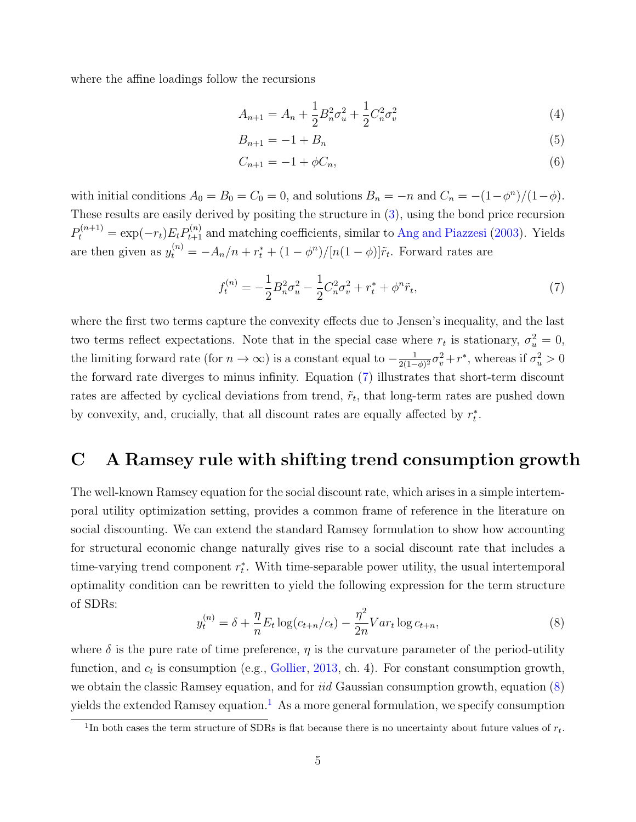where the affine loadings follow the recursions

$$
A_{n+1} = A_n + \frac{1}{2} B_n^2 \sigma_u^2 + \frac{1}{2} C_n^2 \sigma_v^2 \tag{4}
$$

$$
B_{n+1} = -1 + B_n \tag{5}
$$

$$
C_{n+1} = -1 + \phi C_n,\tag{6}
$$

with initial conditions  $A_0 = B_0 = C_0 = 0$ , and solutions  $B_n = -n$  and  $C_n = -(1 - \phi^n)/(1 - \phi)$ . These results are easily derived by positing the structure in [\(3\)](#page-3-2), using the bond price recursion  $P_t^{(n+1)} = \exp(-r_t) E_t P_{t+1}^{(n)}$  and matching coefficients, similar to [Ang and Piazzesi](#page-13-2) [\(2003\)](#page-13-2). Yields are then given as  $y_t^{(n)} = -A_n/n + r_t^* + (1 - \phi^n)/[n(1 - \phi)]\tilde{r}_t$ . Forward rates are

<span id="page-4-1"></span>
$$
f_t^{(n)} = -\frac{1}{2}B_n^2 \sigma_u^2 - \frac{1}{2}C_n^2 \sigma_v^2 + r_t^* + \phi^n \tilde{r}_t,\tag{7}
$$

where the first two terms capture the convexity effects due to Jensen's inequality, and the last two terms reflect expectations. Note that in the special case where  $r_t$  is stationary,  $\sigma_u^2 = 0$ , the limiting forward rate (for  $n \to \infty$ ) is a constant equal to  $-\frac{1}{2(1-\epsilon)}$  $\frac{1}{2(1-\phi)^2}\sigma_v^2+r^*$ , whereas if  $\sigma_u^2>0$ the forward rate diverges to minus infinity. Equation [\(7\)](#page-4-1) illustrates that short-term discount rates are affected by cyclical deviations from trend,  $\tilde{r}_t$ , that long-term rates are pushed down by convexity, and, crucially, that all discount rates are equally affected by  $r_t^*$ .

## <span id="page-4-0"></span>C A Ramsey rule with shifting trend consumption growth

The well-known Ramsey equation for the social discount rate, which arises in a simple intertemporal utility optimization setting, provides a common frame of reference in the literature on social discounting. We can extend the standard Ramsey formulation to show how accounting for structural economic change naturally gives rise to a social discount rate that includes a time-varying trend component  $r_t^*$ . With time-separable power utility, the usual intertemporal optimality condition can be rewritten to yield the following expression for the term structure of SDRs:

<span id="page-4-2"></span>
$$
y_t^{(n)} = \delta + \frac{\eta}{n} E_t \log(c_{t+n}/c_t) - \frac{\eta^2}{2n} Var_t \log c_{t+n},
$$
\n(8)

where  $\delta$  is the pure rate of time preference,  $\eta$  is the curvature parameter of the period-utility function, and  $c_t$  is consumption (e.g., [Gollier,](#page-15-5) [2013,](#page-15-5) ch. 4). For constant consumption growth, we obtain the classic Ramsey equation, and for *iid* Gaussian consumption growth, equation [\(8\)](#page-4-2) yields the extended Ramsey equation.<sup>[1](#page-4-3)</sup> As a more general formulation, we specify consumption

<span id="page-4-3"></span><sup>&</sup>lt;sup>1</sup>In both cases the term structure of SDRs is flat because there is no uncertainty about future values of  $r_t$ .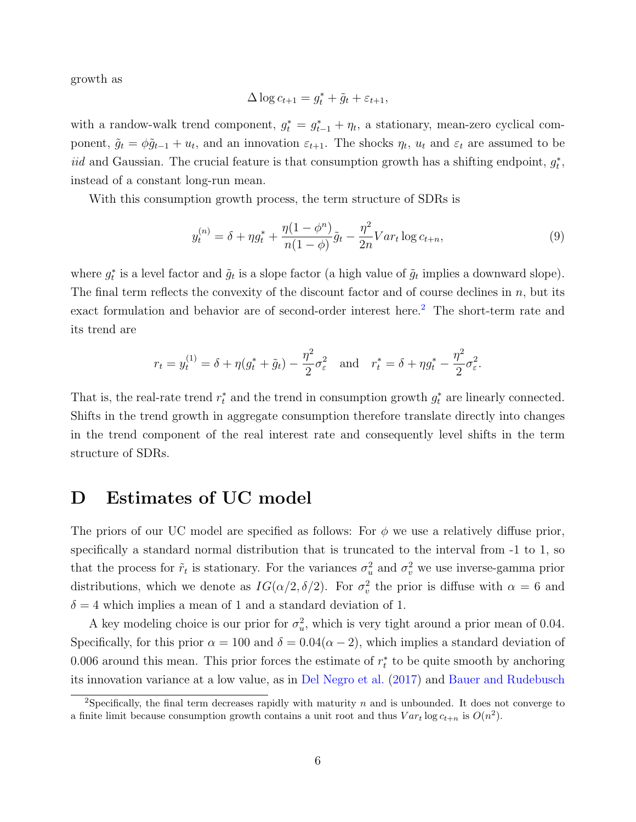growth as

$$
\Delta \log c_{t+1} = g_t^* + \tilde{g}_t + \varepsilon_{t+1},
$$

with a randow-walk trend component,  $g_t^* = g_{t-1}^* + \eta_t$ , a stationary, mean-zero cyclical component,  $\tilde{g}_t = \phi \tilde{g}_{t-1} + u_t$ , and an innovation  $\varepsilon_{t+1}$ . The shocks  $\eta_t$ ,  $u_t$  and  $\varepsilon_t$  are assumed to be iid and Gaussian. The crucial feature is that consumption growth has a shifting endpoint,  $g_t^*$ , instead of a constant long-run mean.

With this consumption growth process, the term structure of SDRs is

$$
y_t^{(n)} = \delta + \eta g_t^* + \frac{\eta(1 - \phi^n)}{n(1 - \phi)} \tilde{g}_t - \frac{\eta^2}{2n} Var_t \log c_{t+n},\tag{9}
$$

where  $g_t^*$  is a level factor and  $\tilde{g}_t$  is a slope factor (a high value of  $\tilde{g}_t$  implies a downward slope). The final term reflects the convexity of the discount factor and of course declines in  $n$ , but its exact formulation and behavior are of second-order interest here.[2](#page-5-1) The short-term rate and its trend are

$$
r_t = y_t^{(1)} = \delta + \eta (g_t^* + \tilde{g}_t) - \frac{\eta^2}{2} \sigma_{\varepsilon}^2
$$
 and  $r_t^* = \delta + \eta g_t^* - \frac{\eta^2}{2} \sigma_{\varepsilon}^2$ .

That is, the real-rate trend  $r_t^*$  and the trend in consumption growth  $g_t^*$  are linearly connected. Shifts in the trend growth in aggregate consumption therefore translate directly into changes in the trend component of the real interest rate and consequently level shifts in the term structure of SDRs.

# <span id="page-5-0"></span>D Estimates of UC model

The priors of our UC model are specified as follows: For  $\phi$  we use a relatively diffuse prior, specifically a standard normal distribution that is truncated to the interval from -1 to 1, so that the process for  $\tilde{r}_t$  is stationary. For the variances  $\sigma_u^2$  and  $\sigma_v^2$  we use inverse-gamma prior distributions, which we denote as  $IG(\alpha/2, \delta/2)$ . For  $\sigma_v^2$  the prior is diffuse with  $\alpha = 6$  and  $\delta = 4$  which implies a mean of 1 and a standard deviation of 1.

A key modeling choice is our prior for  $\sigma_u^2$ , which is very tight around a prior mean of 0.04. Specifically, for this prior  $\alpha = 100$  and  $\delta = 0.04(\alpha - 2)$ , which implies a standard deviation of 0.006 around this mean. This prior forces the estimate of  $r_t^*$  to be quite smooth by anchoring its innovation variance at a low value, as in [Del Negro et al.](#page-13-1) [\(2017\)](#page-13-1) and [Bauer and Rudebusch](#page-13-3)

<span id="page-5-1"></span><sup>&</sup>lt;sup>2</sup>Specifically, the final term decreases rapidly with maturity n and is unbounded. It does not converge to a finite limit because consumption growth contains a unit root and thus  $Var_t \log c_{t+n}$  is  $O(n^2)$ .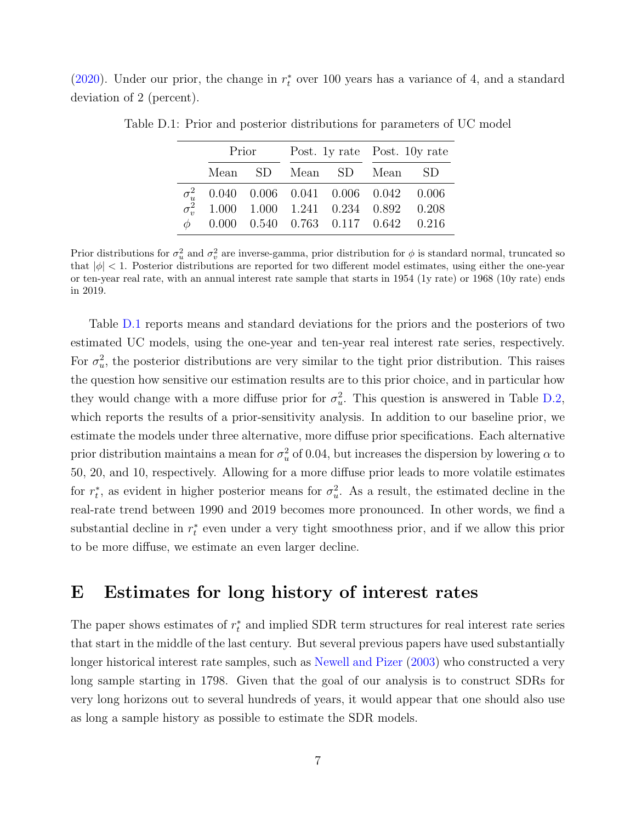[\(2020\)](#page-13-3). Under our prior, the change in  $r_t^*$  over 100 years has a variance of 4, and a standard deviation of 2 (percent).

<span id="page-6-1"></span>

|  | Prior |  | Post. 1y rate Post. 10y rate                                                                         |  |  |
|--|-------|--|------------------------------------------------------------------------------------------------------|--|--|
|  |       |  | Mean SD Mean SD Mean SD                                                                              |  |  |
|  |       |  | $\sigma_u^2$ 0.040 0.006 0.041 0.006 0.042 0.006<br>$\sigma_v^2$ 1.000 1.000 1.241 0.234 0.892 0.208 |  |  |
|  |       |  | $\phi$ 0.000 0.540 0.763 0.117 0.642 0.216                                                           |  |  |

Table D.1: Prior and posterior distributions for parameters of UC model

Prior distributions for  $\sigma_u^2$  and  $\sigma_v^2$  are inverse-gamma, prior distribution for  $\phi$  is standard normal, truncated so that  $|\phi|$  < 1. Posterior distributions are reported for two different model estimates, using either the one-year or ten-year real rate, with an annual interest rate sample that starts in 1954 (1y rate) or 1968 (10y rate) ends in 2019.

Table [D.1](#page-6-1) reports means and standard deviations for the priors and the posteriors of two estimated UC models, using the one-year and ten-year real interest rate series, respectively. For  $\sigma_u^2$ , the posterior distributions are very similar to the tight prior distribution. This raises the question how sensitive our estimation results are to this prior choice, and in particular how they would change with a more diffuse prior for  $\sigma_u^2$ . This question is answered in Table [D.2,](#page-7-0) which reports the results of a prior-sensitivity analysis. In addition to our baseline prior, we estimate the models under three alternative, more diffuse prior specifications. Each alternative prior distribution maintains a mean for  $\sigma_u^2$  of 0.04, but increases the dispersion by lowering  $\alpha$  to 50, 20, and 10, respectively. Allowing for a more diffuse prior leads to more volatile estimates for  $r_t^*$ , as evident in higher posterior means for  $\sigma_u^2$ . As a result, the estimated decline in the real-rate trend between 1990 and 2019 becomes more pronounced. In other words, we find a substantial decline in  $r_t^*$  even under a very tight smoothness prior, and if we allow this prior to be more diffuse, we estimate an even larger decline.

#### <span id="page-6-0"></span>E Estimates for long history of interest rates

The paper shows estimates of  $r_t^*$  and implied SDR term structures for real interest rate series that start in the middle of the last century. But several previous papers have used substantially longer historical interest rate samples, such as [Newell and Pizer](#page-15-6) [\(2003\)](#page-15-6) who constructed a very long sample starting in 1798. Given that the goal of our analysis is to construct SDRs for very long horizons out to several hundreds of years, it would appear that one should also use as long a sample history as possible to estimate the SDR models.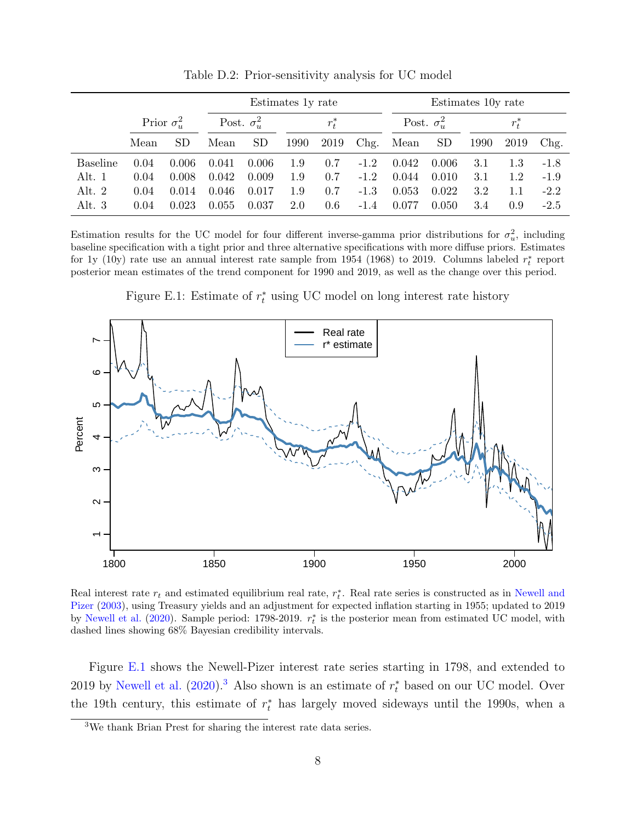|                 |                    |           |                    | Estimates 1y rate |         |      |                    | Estimates 10y rate |           |      |      |        |
|-----------------|--------------------|-----------|--------------------|-------------------|---------|------|--------------------|--------------------|-----------|------|------|--------|
|                 | Prior $\sigma_w^2$ |           | Post. $\sigma_u^2$ |                   | $r_t^*$ |      | Post. $\sigma_u^2$ |                    | $r_t^*$   |      |      |        |
|                 | Mean               | <b>SD</b> | Mean               | <b>SD</b>         | 1990    | 2019 | Chg.               | Mean               | <b>SD</b> | 1990 | 2019 | Chg.   |
| <b>Baseline</b> | 0.04               | 0.006     | 0.041              | 0.006             | 1.9     | 0.7  | $-1.2$             | 0.042              | 0.006     | 3.1  | 1.3  | $-1.8$ |
| Alt. 1          | 0.04               | 0.008     | 0.042              | 0.009             | 1.9     | 0.7  | $-1.2$             | 0.044              | 0.010     | 3.1  | 1.2  | $-1.9$ |
| Alt. $2$        | 0.04               | 0.014     | 0.046              | 0.017             | $1.9\,$ | 0.7  | $-1.3$             | 0.053              | 0.022     | 3.2  | 1.1  | $-2.2$ |
| Alt. $3$        | 0.04               | 0.023     | 0.055              | 0.037             | 2.0     | 0.6  | $-1.4$             | 0.077              | 0.050     | 3.4  | 0.9  | $-2.5$ |

<span id="page-7-0"></span>Table D.2: Prior-sensitivity analysis for UC model

Estimation results for the UC model for four different inverse-gamma prior distributions for  $\sigma_u^2$ , including baseline specification with a tight prior and three alternative specifications with more diffuse priors. Estimates for 1y (10y) rate use an annual interest rate sample from 1954 (1968) to 2019. Columns labeled  $r_t^*$  report posterior mean estimates of the trend component for 1990 and 2019, as well as the change over this period.

<span id="page-7-1"></span>Figure E.1: Estimate of  $r_t^*$  using UC model on long interest rate history



Real interest rate  $r_t$  and estimated equilibrium real rate,  $r_t^*$ . Real rate series is constructed as in [Newell and](#page-15-6) [Pizer](#page-15-6) [\(2003\)](#page-15-6), using Treasury yields and an adjustment for expected inflation starting in 1955; updated to 2019 by [Newell et al.](#page-15-7) [\(2020\)](#page-15-7). Sample period: 1798-2019.  $r_t^*$  is the posterior mean from estimated UC model, with dashed lines showing 68% Bayesian credibility intervals.

Figure [E.1](#page-7-1) shows the Newell-Pizer interest rate series starting in 1798, and extended to 2019 by [Newell et al.](#page-15-7)  $(2020)$ .<sup>[3](#page-7-2)</sup> Also shown is an estimate of  $r_t^*$  based on our UC model. Over the 19th century, this estimate of  $r_t^*$  has largely moved sideways until the 1990s, when a

<span id="page-7-2"></span><sup>3</sup>We thank Brian Prest for sharing the interest rate data series.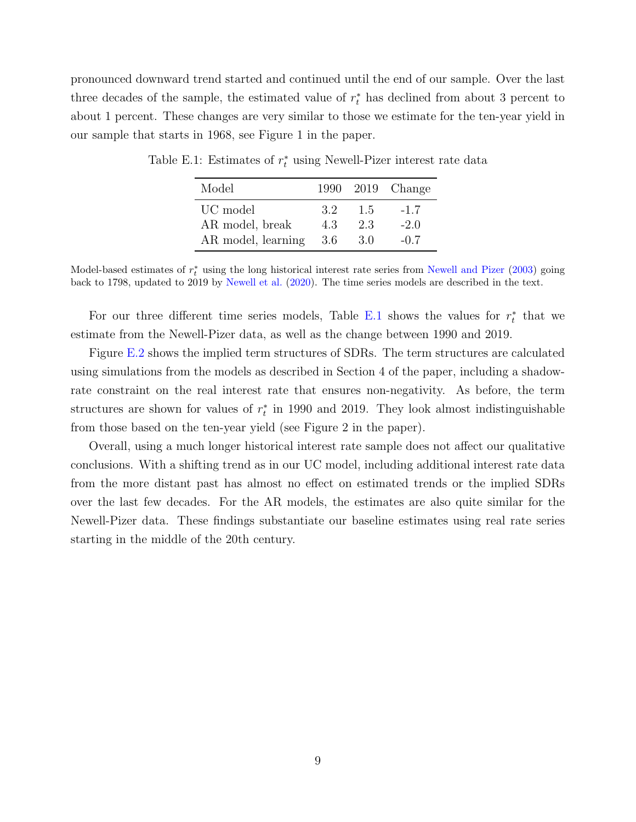pronounced downward trend started and continued until the end of our sample. Over the last three decades of the sample, the estimated value of  $r_t^*$  has declined from about 3 percent to about 1 percent. These changes are very similar to those we estimate for the ten-year yield in our sample that starts in 1968, see Figure 1 in the paper.

<span id="page-8-0"></span>

| Model              |      |     | 1990 2019 Change |
|--------------------|------|-----|------------------|
| UC model           | 32   | 1.5 | $-1.7$           |
| AR model, break    | 43   | 23  | $-2.0$           |
| AR model, learning | -3.6 | 3.0 | $-0.7$           |

Table E.1: Estimates of  $r_t^*$  using Newell-Pizer interest rate data

Model-based estimates of  $r_t^*$  using the long historical interest rate series from [Newell and Pizer](#page-15-6) [\(2003\)](#page-15-6) going back to 1798, updated to 2019 by [Newell et al.](#page-15-7) [\(2020\)](#page-15-7). The time series models are described in the text.

For our three different time series models, Table [E.1](#page-8-0) shows the values for  $r_t^*$  that we estimate from the Newell-Pizer data, as well as the change between 1990 and 2019.

Figure [E.2](#page-9-0) shows the implied term structures of SDRs. The term structures are calculated using simulations from the models as described in Section 4 of the paper, including a shadowrate constraint on the real interest rate that ensures non-negativity. As before, the term structures are shown for values of  $r_t^*$  in 1990 and 2019. They look almost indistinguishable from those based on the ten-year yield (see Figure 2 in the paper).

Overall, using a much longer historical interest rate sample does not affect our qualitative conclusions. With a shifting trend as in our UC model, including additional interest rate data from the more distant past has almost no effect on estimated trends or the implied SDRs over the last few decades. For the AR models, the estimates are also quite similar for the Newell-Pizer data. These findings substantiate our baseline estimates using real rate series starting in the middle of the 20th century.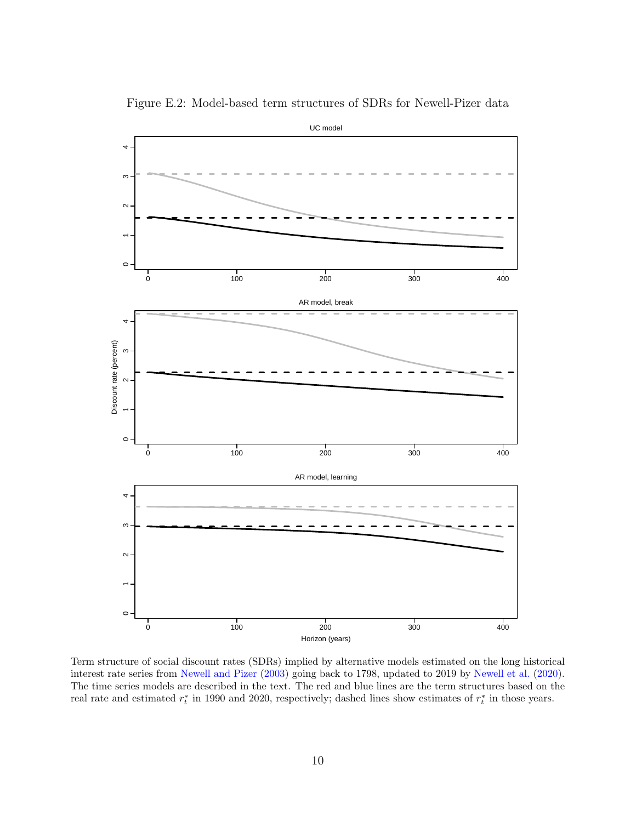

<span id="page-9-0"></span>Figure E.2: Model-based term structures of SDRs for Newell-Pizer data

Term structure of social discount rates (SDRs) implied by alternative models estimated on the long historical interest rate series from [Newell and Pizer](#page-15-6) [\(2003\)](#page-15-6) going back to 1798, updated to 2019 by [Newell et al.](#page-15-7) [\(2020\)](#page-15-7). The time series models are described in the text. The red and blue lines are the term structures based on the real rate and estimated  $r_t^*$  in 1990 and 2020, respectively; dashed lines show estimates of  $r_t^*$  in those years.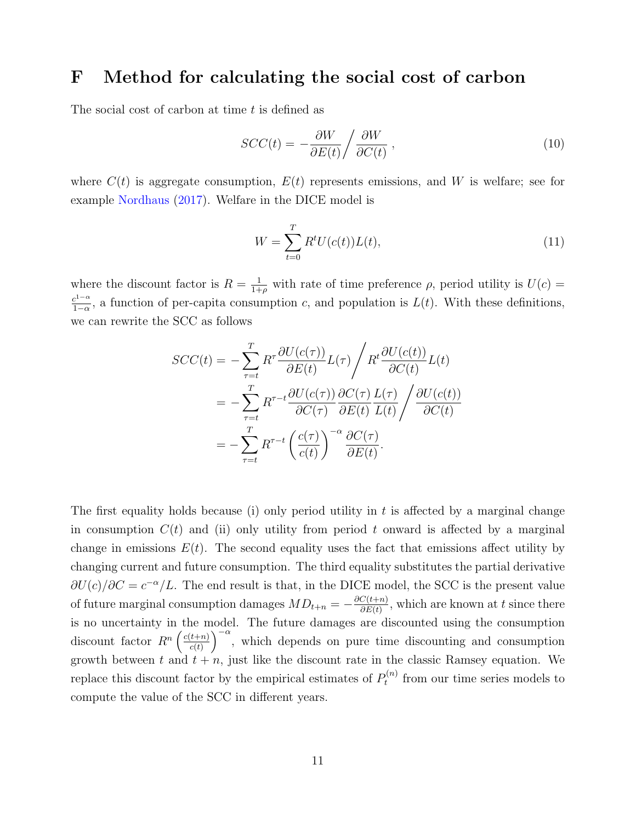### <span id="page-10-0"></span>F Method for calculating the social cost of carbon

The social cost of carbon at time  $t$  is defined as

$$
SCC(t) = -\frac{\partial W}{\partial E(t)} / \frac{\partial W}{\partial C(t)},
$$
\n(10)

where  $C(t)$  is aggregate consumption,  $E(t)$  represents emissions, and W is welfare; see for example [Nordhaus](#page-15-8) [\(2017\)](#page-15-8). Welfare in the DICE model is

$$
W = \sum_{t=0}^{T} R^t U(c(t)) L(t),
$$
\n(11)

where the discount factor is  $R = \frac{1}{1+\rho}$  with rate of time preference  $\rho$ , period utility is  $U(c)$  $c^{1-\alpha}$  $\frac{c^{1-\alpha}}{1-\alpha}$ , a function of per-capita consumption c, and population is  $L(t)$ . With these definitions, we can rewrite the SCC as follows

$$
SCC(t) = -\sum_{\tau=t}^{T} R^{\tau} \frac{\partial U(c(\tau))}{\partial E(t)} L(\tau) \Bigg/R^t \frac{\partial U(c(t))}{\partial C(t)} L(t)
$$
  
= 
$$
-\sum_{\tau=t}^{T} R^{\tau-t} \frac{\partial U(c(\tau))}{\partial C(\tau)} \frac{\partial C(\tau)}{\partial E(t)} \frac{L(\tau)}{L(t)} \Bigg/\frac{\partial U(c(t))}{\partial C(t)}
$$
  
= 
$$
-\sum_{\tau=t}^{T} R^{\tau-t} \left(\frac{c(\tau)}{c(t)}\right)^{-\alpha} \frac{\partial C(\tau)}{\partial E(t)}.
$$

The first equality holds because (i) only period utility in  $t$  is affected by a marginal change in consumption  $C(t)$  and (ii) only utility from period t onward is affected by a marginal change in emissions  $E(t)$ . The second equality uses the fact that emissions affect utility by changing current and future consumption. The third equality substitutes the partial derivative  $\partial U(c)/\partial C = c^{-\alpha}/L$ . The end result is that, in the DICE model, the SCC is the present value of future marginal consumption damages  $MD_{t+n} = -\frac{\partial C(t+n)}{\partial E(t)}$  $\frac{C(t+n)}{\partial E(t)}$ , which are known at t since there is no uncertainty in the model. The future damages are discounted using the consumption discount factor  $R^n \left( \frac{c(t+n)}{c(t)} \right)$  $\left(\frac{t+n}{c(t)}\right)^{-\alpha}$ , which depends on pure time discounting and consumption growth between t and  $t + n$ , just like the discount rate in the classic Ramsey equation. We replace this discount factor by the empirical estimates of  $P_t^{(n)}$  $t_t^{(n)}$  from our time series models to compute the value of the SCC in different years.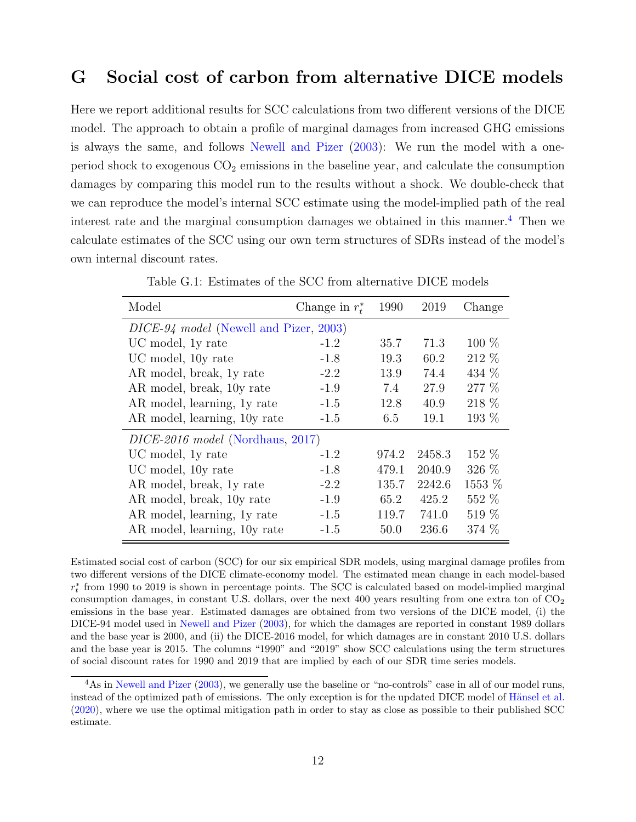# <span id="page-11-0"></span>G Social cost of carbon from alternative DICE models

Here we report additional results for SCC calculations from two different versions of the DICE model. The approach to obtain a profile of marginal damages from increased GHG emissions is always the same, and follows [Newell and Pizer](#page-15-6) [\(2003\)](#page-15-6): We run the model with a oneperiod shock to exogenous  $CO<sub>2</sub>$  emissions in the baseline year, and calculate the consumption damages by comparing this model run to the results without a shock. We double-check that we can reproduce the model's internal SCC estimate using the model-implied path of the real interest rate and the marginal consumption damages we obtained in this manner.<sup>[4](#page-11-1)</sup> Then we calculate estimates of the SCC using our own term structures of SDRs instead of the model's own internal discount rates.

| Model                                  | Change in $r_t^*$ | 1990  | 2019   | Change  |  |  |  |
|----------------------------------------|-------------------|-------|--------|---------|--|--|--|
| DICE-94 model (Newell and Pizer, 2003) |                   |       |        |         |  |  |  |
| UC model, 1y rate                      | $-1.2$            | 35.7  | 71.3   | $100\%$ |  |  |  |
| UC model, 10y rate                     | $-1.8$            | 19.3  | 60.2   | 212 %   |  |  |  |
| AR model, break, 1y rate               | $-2.2$            | 13.9  | 74.4   | 434 %   |  |  |  |
| AR model, break, 10y rate              | $-1.9$            | 7.4   | 27.9   | 277 %   |  |  |  |
| AR model, learning, 1y rate            | $-1.5$            | 12.8  | 40.9   | 218 %   |  |  |  |
| AR model, learning, 10y rate           | $-1.5$            | 6.5   | 19.1   | $193\%$ |  |  |  |
| $DICE-2016 \ model$ (Nordhaus, 2017)   |                   |       |        |         |  |  |  |
| UC model, 1y rate                      | $-1.2$            | 974.2 | 2458.3 | 152 %   |  |  |  |
| UC model, 10y rate                     | $-1.8$            | 479.1 | 2040.9 | 326 %   |  |  |  |
| AR model, break, 1y rate               | $-2.2$            | 135.7 | 2242.6 | 1553 %  |  |  |  |
| AR model, break, 10y rate              | $-1.9$            | 65.2  | 425.2  | 552 %   |  |  |  |
| AR model, learning, 1y rate            | $-1.5$            | 119.7 | 741.0  | 519 %   |  |  |  |
| AR model, learning, 10y rate           | $-1.5$            | 50.0  | 236.6  | 374 %   |  |  |  |

<span id="page-11-2"></span>Table G.1: Estimates of the SCC from alternative DICE models

Estimated social cost of carbon (SCC) for our six empirical SDR models, using marginal damage profiles from two different versions of the DICE climate-economy model. The estimated mean change in each model-based  $r_t^*$  from 1990 to 2019 is shown in percentage points. The SCC is calculated based on model-implied marginal consumption damages, in constant U.S. dollars, over the next 400 years resulting from one extra ton of  $CO<sub>2</sub>$ emissions in the base year. Estimated damages are obtained from two versions of the DICE model, (i) the DICE-94 model used in [Newell and Pizer](#page-15-6) [\(2003\)](#page-15-6), for which the damages are reported in constant 1989 dollars and the base year is 2000, and (ii) the DICE-2016 model, for which damages are in constant 2010 U.S. dollars and the base year is 2015. The columns "1990" and "2019" show SCC calculations using the term structures of social discount rates for 1990 and 2019 that are implied by each of our SDR time series models.

<span id="page-11-1"></span><sup>&</sup>lt;sup>4</sup>As in [Newell and Pizer](#page-15-6) [\(2003\)](#page-15-6), we generally use the baseline or "no-controls" case in all of our model runs, instead of the optimized path of emissions. The only exception is for the updated DICE model of Hänsel et al. [\(2020\)](#page-15-9), where we use the optimal mitigation path in order to stay as close as possible to their published SCC estimate.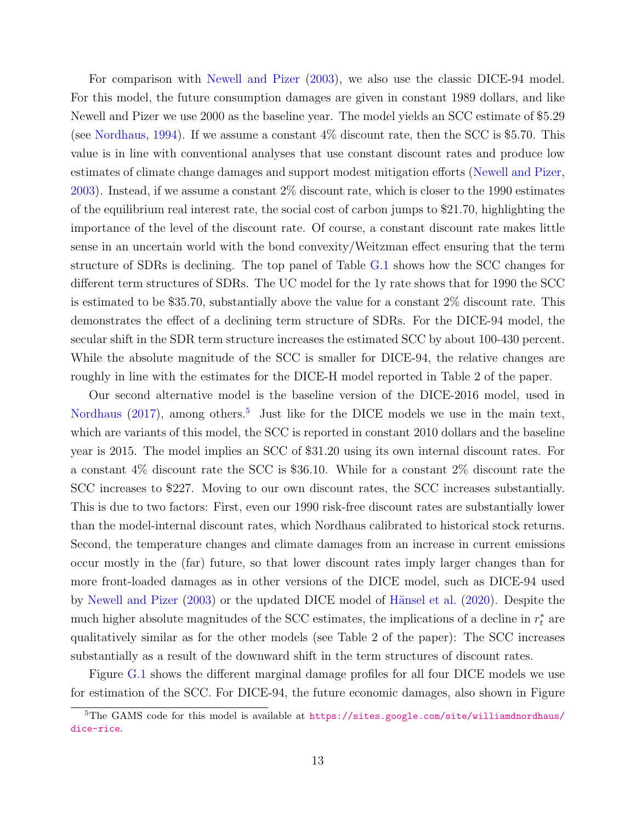For comparison with [Newell and Pizer](#page-15-6) [\(2003\)](#page-15-6), we also use the classic DICE-94 model. For this model, the future consumption damages are given in constant 1989 dollars, and like Newell and Pizer we use 2000 as the baseline year. The model yields an SCC estimate of \$5.29 (see [Nordhaus,](#page-15-10) [1994\)](#page-15-10). If we assume a constant 4% discount rate, then the SCC is \$5.70. This value is in line with conventional analyses that use constant discount rates and produce low estimates of climate change damages and support modest mitigation efforts [\(Newell and Pizer,](#page-15-6) [2003\)](#page-15-6). Instead, if we assume a constant 2% discount rate, which is closer to the 1990 estimates of the equilibrium real interest rate, the social cost of carbon jumps to \$21.70, highlighting the importance of the level of the discount rate. Of course, a constant discount rate makes little sense in an uncertain world with the bond convexity/Weitzman effect ensuring that the term structure of SDRs is declining. The top panel of Table [G.1](#page-11-2) shows how the SCC changes for different term structures of SDRs. The UC model for the 1y rate shows that for 1990 the SCC is estimated to be \$35.70, substantially above the value for a constant 2% discount rate. This demonstrates the effect of a declining term structure of SDRs. For the DICE-94 model, the secular shift in the SDR term structure increases the estimated SCC by about 100-430 percent. While the absolute magnitude of the SCC is smaller for DICE-94, the relative changes are roughly in line with the estimates for the DICE-H model reported in Table 2 of the paper.

Our second alternative model is the baseline version of the DICE-2016 model, used in [Nordhaus](#page-15-8)  $(2017)$ , among others.<sup>[5](#page-12-0)</sup> Just like for the DICE models we use in the main text, which are variants of this model, the SCC is reported in constant 2010 dollars and the baseline year is 2015. The model implies an SCC of \$31.20 using its own internal discount rates. For a constant 4% discount rate the SCC is \$36.10. While for a constant 2% discount rate the SCC increases to \$227. Moving to our own discount rates, the SCC increases substantially. This is due to two factors: First, even our 1990 risk-free discount rates are substantially lower than the model-internal discount rates, which Nordhaus calibrated to historical stock returns. Second, the temperature changes and climate damages from an increase in current emissions occur mostly in the (far) future, so that lower discount rates imply larger changes than for more front-loaded damages as in other versions of the DICE model, such as DICE-94 used by [Newell and Pizer](#page-15-6) [\(2003\)](#page-15-6) or the updated DICE model of Hänsel et al. [\(2020\)](#page-15-9). Despite the much higher absolute magnitudes of the SCC estimates, the implications of a decline in  $r_t^*$  are qualitatively similar as for the other models (see Table 2 of the paper): The SCC increases substantially as a result of the downward shift in the term structures of discount rates.

Figure [G.1](#page-14-0) shows the different marginal damage profiles for all four DICE models we use for estimation of the SCC. For DICE-94, the future economic damages, also shown in Figure

<span id="page-12-0"></span><sup>&</sup>lt;sup>5</sup>The GAMS code for this model is available at [https://sites.google.com/site/williamdnordhaus/](https://sites.google.com/site/williamdnordhaus/dice-rice) [dice-rice](https://sites.google.com/site/williamdnordhaus/dice-rice).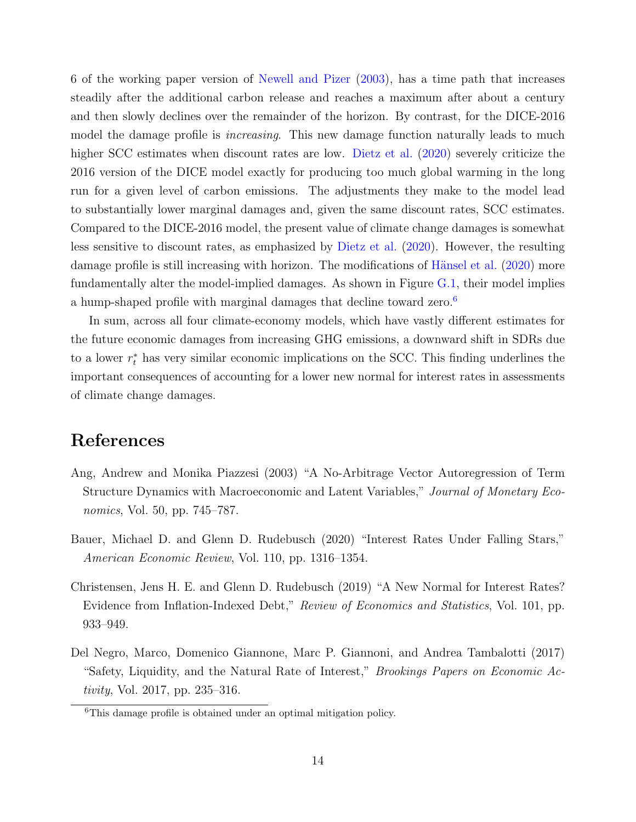6 of the working paper version of [Newell and Pizer](#page-15-6) [\(2003\)](#page-15-6), has a time path that increases steadily after the additional carbon release and reaches a maximum after about a century and then slowly declines over the remainder of the horizon. By contrast, for the DICE-2016 model the damage profile is *increasing*. This new damage function naturally leads to much higher SCC estimates when discount rates are low. [Dietz et al.](#page-15-11)  $(2020)$  severely criticize the 2016 version of the DICE model exactly for producing too much global warming in the long run for a given level of carbon emissions. The adjustments they make to the model lead to substantially lower marginal damages and, given the same discount rates, SCC estimates. Compared to the DICE-2016 model, the present value of climate change damages is somewhat less sensitive to discount rates, as emphasized by [Dietz et al.](#page-15-11) [\(2020\)](#page-15-11). However, the resulting damage profile is still increasing with horizon. The modifications of Hänsel et al. [\(2020\)](#page-15-9) more fundamentally alter the model-implied damages. As shown in Figure [G.1,](#page-14-0) their model implies a hump-shaped profile with marginal damages that decline toward zero.<sup>[6](#page-13-4)</sup>

In sum, across all four climate-economy models, which have vastly different estimates for the future economic damages from increasing GHG emissions, a downward shift in SDRs due to a lower  $r_t^*$  has very similar economic implications on the SCC. This finding underlines the important consequences of accounting for a lower new normal for interest rates in assessments of climate change damages.

# References

- <span id="page-13-2"></span>Ang, Andrew and Monika Piazzesi (2003) "A No-Arbitrage Vector Autoregression of Term Structure Dynamics with Macroeconomic and Latent Variables," Journal of Monetary Economics, Vol. 50, pp. 745–787.
- <span id="page-13-3"></span>Bauer, Michael D. and Glenn D. Rudebusch (2020) "Interest Rates Under Falling Stars," American Economic Review, Vol. 110, pp. 1316–1354.
- <span id="page-13-0"></span>Christensen, Jens H. E. and Glenn D. Rudebusch (2019) "A New Normal for Interest Rates? Evidence from Inflation-Indexed Debt," Review of Economics and Statistics, Vol. 101, pp. 933–949.
- <span id="page-13-1"></span>Del Negro, Marco, Domenico Giannone, Marc P. Giannoni, and Andrea Tambalotti (2017) "Safety, Liquidity, and the Natural Rate of Interest," Brookings Papers on Economic Activity, Vol. 2017, pp. 235–316.

<span id="page-13-4"></span><sup>6</sup>This damage profile is obtained under an optimal mitigation policy.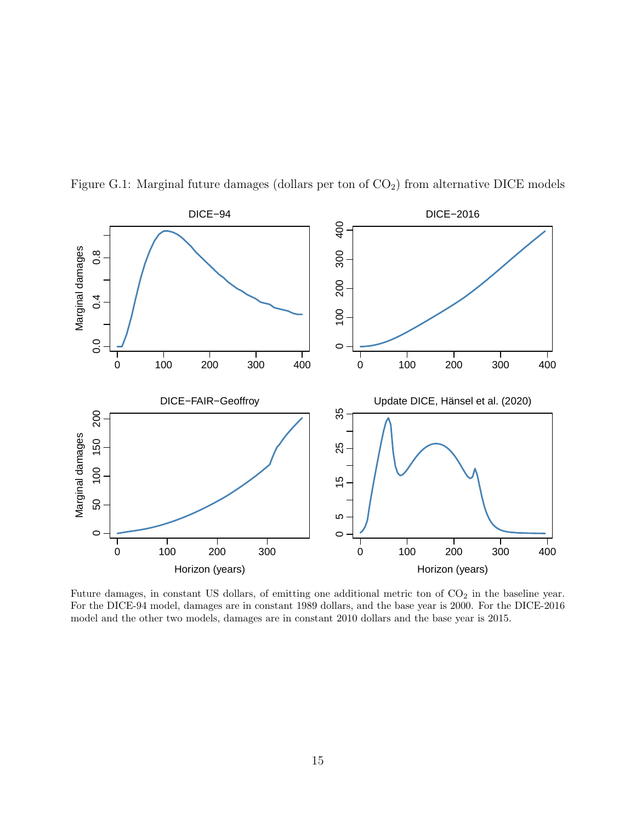

<span id="page-14-0"></span>Figure G.1: Marginal future damages (dollars per ton of  $CO<sub>2</sub>$ ) from alternative DICE models

Future damages, in constant US dollars, of emitting one additional metric ton of  $CO<sub>2</sub>$  in the baseline year. For the DICE-94 model, damages are in constant 1989 dollars, and the base year is 2000. For the DICE-2016 model and the other two models, damages are in constant 2010 dollars and the base year is 2015.